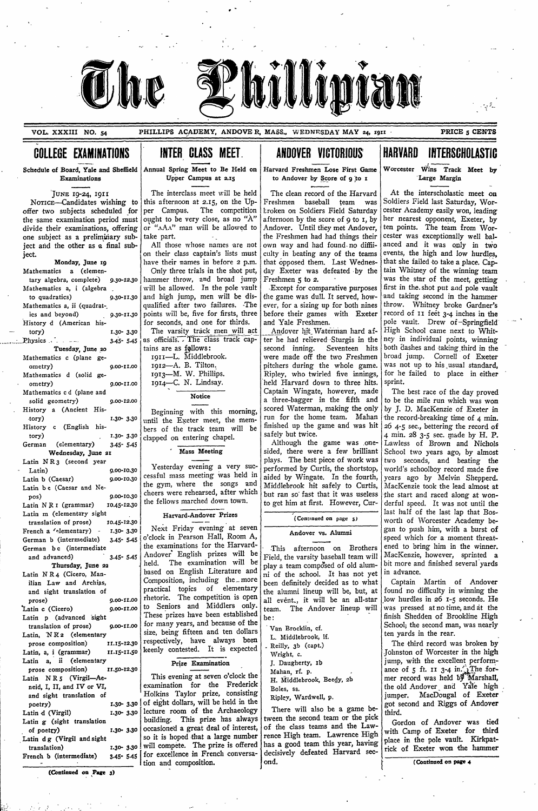

VOL. XXXIII NO. 54 PHILLIPS ACADEMY, ANDOVE R, MASS., WEDNESDAY MAY 24, 1911 PRICE 5 CENTS

divide their examinations, offering or " $A A$ <sup>"</sup> man will be allowed to Andover. Until they met Andover, ten points. The team from Wor-<br>one subject as a preliminary sub- take part.

Mathematics a (elemen-<br>
tary algebra, complete) 9.30-12.30 hammer throw, and broad jump Freshmen 5 to 2.<br>
The shot put of the star of the meet, getting Mathematics a, i (algebra  $\cdot$  | will be allowed. In the pole vault | Except for comparative purposes | first in the shot put and pole vault Mathematics a, ii (quadrat-<br>g.30-11.30 qualified after two failures. The ever, for a sizing up for both nines throw. Whitney broke Gardner's<br>ics and beyond) 9.30-11.30 points will be, five for firsts, three before their ga ics and beyond) 9.30-11.30 points will be, five for firsts, three before their games with Exeter History d (American his-<br>If  $\int$  for seconds, and one for thirds. and Yale Freshmen. tory) 1.30- 3.30 The varsity track men will act Andover hit Waterman hard af- High School came next to Whit-<br>hysics 1.1 - 3.45- 5.45, as officials. The class track cap- ter he had relieved Sturgis in the ney in individual *......hysics* .- - --- 3.45- 5.45 as official's7. Tfi-class track cap- ter he had relieved- Sturgis in the ney in individual points, winning Mathematics c (plane ge-<br>
9.00-11.00 ig12-A. B. Tilton. were made off the two Freshmen broad jump. Cornell of Exeter<br>
9.00-11.00 pitchers during the whole game. was not up to his usual standard, Mathematics d (solid ge-<br>  $\begin{array}{|l|l|}\n\hline\n\text{Mathematics} & \text{d (solid ge-} \\
\hline\n\text{onetry)} & \text{9.00-11.00} & \text{1914—C. N. Lindsay.} \\
\hline\n\end{array}$  Ripley, who twirled five innings, for he failed to place in either Mathematics c d (plane and 0.00-12.00) <br>
Solid geometry a three-bagger in the fifth and to be the mile run which was won solid geometry) 9.00-12.00 9.00-12.00 solid geometry 9.00-12.00 9.00-12.00 solid geometry 9.00-12.00 solid geometry 9.00-12.00 tory) **1.30- 3.30** ntil the Exeter meet, the mem-<br>History c (English his-<br>hers of the track team will be finished up the game and was hit 26 4-5 sec., bettering the record of German (elementary) 3.45- 5.45 Contract Contract Contract Contract Controller Music of Brown and Nichols<br>Wednesday, June 21 Mass Meeting sided, there were a few brilliant School two years ago, by almost Latin NR3 (second year o.00-10.30) Yesterday evening a very suc-<br>
Plays. The best piece of work was two seconds, and beating the<br>
performed by Curtis, the shortstop, world's schoolboy record made five Latin b (Caesar) 9.00-10.30 cessful mass meeting was held in aided by Wingate. In the fourth, Latin be (Caesar and Ne-<br>Latin be (Caesar and Ne-Latin be (Caesar and Ne-<br>
9.00-10.30 cheers were rehearsed, after which but ran so fast that it was useless the start and raced along at won-Latin N R I (grammar) 10.45-12.30 the fellows marched down town. to get him at first. However, Cur- derful speed. It was not until the Latin m (elementary sight Harvard-Andover Prizes (Continued on page 5) and Morrester Academy be-French a  $\binom{4}{2}$  - 1.30- 3.30 Next Friday evening at seven  $\binom{4}{2}$  and  $\binom{4}{3}$  and  $\binom{4}{4}$  and  $\binom{4}{5}$  and  $\binom{4}{5}$  and  $\binom{4}{5}$  and  $\binom{4}{5}$  and  $\binom{4}{5}$  and  $\binom{4}{5}$  and  $\binom{4}{5}$  and  $\binom{4}{5}$ German b (intermediate) 3.45- 5.45 o'clock in Pearson Hall, Room A, speed which for a moment threat-<br>German be (intermediate the examinations for the Harvard- This afternoon on Brothers ened to bring him in the winner. German b c (intermediate the examinations for the Harvard- This afternoon on Brothers ened to bring him in the winner.<br>and advanced) 3.45-5.45 Andover English prizes will be Field the varsity hasehall team will MacKenzie, Latin N R 4 (Cicero, Man-<br>ilian Law and Archias, Composition, including the more  $\begin{bmatrix} 1 & 0 & 0 \\ 0 & -1 & 0 \\ 0 & -1 & 0 \end{bmatrix}$  must been definitely decided as to what Captain Martin of Andover ilian Law and Archias, Composition, including the more been definitely decided as to what Captain Martin of Andover<br>and sight translation of practical topics of elementary the alumni lineup will be, but, at found no diffic and sight translation of practical topics of elementary the alumni lineup will be, but, at  $\frac{1}{\pi}$  and  $\frac{1}{\pi}$  and  $\frac{1}{\pi}$  and  $\frac{1}{\pi}$  and  $\frac{1}{\pi}$  and  $\frac{1}{\pi}$  and  $\frac{1}{\pi}$  and  $\frac{1}{\pi}$  and  $\frac{1}{\pi}$ prose) 9.00-11.00 rhetoric. The competition is open all event, it will be an all-star low hurdles in 26 1-5 seconds. He<br>atin c (Cicero) 9.00-11.00 to Seniors and Middlers only. <sub>team</sub> The Andover lineup will was pressed at Latin c (Cicero) **9.00-11.00** to Seniors and Middlers only. team. The Andover lineup will was pressed at no time, and at the<br>Latin n (advanced sight These prizes have been established <sub>he</sub>. Latin p (advanced sight These prizes have been established be: finish Shedden of Brookline High Instantion of prose)  $\frac{1}{2}$  for many years, and because of the  $\frac{1}{2}$  finish Shedden of Brookline High Instantion of pr translation of prose) 9.00-11.00 for many years, and because of the Van Brocklin, cf.<br>
atin. NR2 (elementary size, being fifteen and ten dollars relationships) and the second man, was nearly Latin, NR2 (elementary size, being fifteen and ten dollars van Brocklin, cr. prose composition)  $\begin{bmatrix} 1.15-12.30 \end{bmatrix}$  respectively, have always been  $\begin{bmatrix} 1.1 \end{bmatrix}$ .  $\begin{bmatrix} 1.1 \end{bmatrix}$  and  $\begin{bmatrix} 1.1 \end{bmatrix}$  and  $\begin{bmatrix} 1.1 \end{bmatrix}$  and  $\begin{bmatrix} 1.1 \end{bmatrix}$  and  $\begin{bmatrix} 1.1 \end{bmatrix}$  and  $\begin{bmatrix} 1.$ Latin, a, i (grammar) 11.15-11.50 keenly contested. It is expected Wright, c. Johnston of Worcester in the high<br>Latin a, ii (elementary prize Examination by Prize Examination by Daugherty, 1b jump, with the excellent perfo Latin NR5 (Virgil-Ae- This evening at seven o'clock the H Middlebrook, Beedy, 2b mer record was held by Marshall Latin NR5 (Virgil—Ae-<br>
neid, I, II, and IV or VI,<br>
and sight translation of Holkins Taylor prize, consisting pieles, ss.<br>
Holkins Taylor prize, consisting pieles, ss.<br>
Fight or *Hold Andover* and Yale high<br>
illinner. MacDo Latin d (Virgil) **1.30-** 3.30 lecture room of the Archaeology There will also be a game be- third. Latin g (sight translation building. This prize has always tween the second team or the pick Gordon of Andover was tied<br>of nectant of the class teams and the Law-Latin dg (Virgil and sight so it is hoped that a large number rence High team. Lawrence High place in the pole vault. Kirkpat-<br>translation)  $\begin{bmatrix} 1.30 \\ 1.30 \\ 1.30 \end{bmatrix}$  will compete. The prize is offered has a good tea

**(Continued on Pge** 3)

'JUNE 19-24, 1911 <sup>The interclass meet will be held The clean record of the Harvard At the interscholastic meet on<br>Norice—Candidates wishing to this afternoon at 2.15, on the Up- Freshmen baseball team was Soldiers Field l</sup> NOTICE—Candidates wishing to this afternoon at 2.15, on the Up- Freshmen baseball team was Soldiers Field last Saturday, Wor-<br>Offer two subjects scheduled for per Campus. The competition troken on Soldiers Field Saturday c per Campus. The competition ought to be very close, as no "A" the same examination period must ought to be very close, as no "A" afternoon by the score of 9 to 1, by her nearest opponent, Exeter, by divide their examinations, offering or " $AA$ " man will be allowed to Andover. Until t

ject and the other as a final sub- All those whose names are not own way and had found-no diffii- anced and it was only in two ject. ject.<br>Monday, June 19 (on their class captain's lists must culty in beating any of the teams events, the high and low hurdles,<br>Monday, June 19 (have their names in before 2 p.m.) that opposed them. Last Wednes- that she fa tary algebra, complete) **9.30-12.30** *hammer throw*, and broad jump Freshmen 5 to 2. to quadratics) **9.30-11.30** and high jump, men will be dis- the game was dull. It served, how- and taking second in the hammer<br>(athematics a, ii (quadrat-<br>(athematics a, ii (quadrat-

Latin) 9.00-10.30 <sup>Yesterday</sup> evening a very suc- performed by Curtis, the shortstop, world's schoolboy record made five<br>atin b (Caesar) 9.00-10.30 cessful mass meeting was held in aided by Wingate. In the fourth, years ag

of poetry) 1.30- 3.30 occasioned a great deal of interest, of the class teams and the Law-<br>atin de (Virgil and sight<br>Kirkpattranslation) **1.30- 3.30** Will compete. The prize is offered has a good team this year, having rick of Exeter won the hammer French b (intermediate) 3.45- 5.45 for excellence in French conversa- decisively defeated Harvard sec-I tion and composition.

# **COLLEGE EXAMINATIONS INTER CLASS MEET. ANDOVER VICTORIOUS HARVARD IfTERSCHOLASTIC**

### Schedule of Board, Yale and Sheffield Annual Spring Meet to Be Held on Harvard Freshmen Lose First Game Worcester Wins Track Meet by<br>Examinations Upper Campus at 2.15 to Andover by Score of 9 to 1 Large Margin to Andover by Score of 9 to I

ke part.<br>All those whose names are not own way and had found no diffi-<br> $\frac{1}{2}$  cester whose names are not own way and had-found no diffiithat opposed them. Last Wednes-

ins are as **follows:** second inning. Seventeen hits both dashes and taking third in the rg11—L. Middlebrook. were made off the two Freshmen broad jump. Cornell of Exeter ometry) 9.00-11.00 1912-A. B. Tilton. pitchers during the whole game.<br>
athematics d (solid ge-<br>
athematics d (solid ge-<br>
athematics d (solid ge-<br>
athematics d (solid ge-<br>
athew innings, ometry) 9.00-11.00 1914-C. N. Lindsay. held Harvard down to three hits. Beginning with this morning, scored Waterman, making the only by J. D. MacKenzie of Exeter in the Freder meet, the mem. run for the home team. Mahan the record-breaking time of  $\alpha$  min.

**Wednesday, June 21**<br> **Mass Meeting 1996** almost 1997 sided, there were a few brilliant School two years ago, by almost 1998. The best piece of work was two seconds, and beating the pos) 9.00-10.30 cheers were rehearsed, after which but ran so fast that it was useless<br>atin N R I (grammar) 10.45-12.30 the fellows marched down town. to get him at first. However, Cur-

held. Ine examination will be play a team composed of old alum- bit more and helds based on English Literature and  $\frac{1}{n}$  of the school. It has not vet in advance.

and Yale Freshmen. pole vault. Drew of-Springfield Andover hit Waterman hard af- High School came next to Whit-

History c (English his- e finished up the game and was hit 26 4-5 sec., bettering the record of tory) 1.30- 3.30 clapped on entering chapel.<br>
afely but twice.<br>
Although the game was one-<br>
Lawless of Brown and Nichols translation of prose) 10.45-12.30 Translation of prose) 10.45-12.30 (Continued on page 5) worth of Worcester Academy beand advanced.) 3.45- 5.45 Andover English prizes will be Field, the varsity baseball team will MacKenzie, however, sprinted a<br>Thursday, June 22 The examination will be play a team composed of old alum- bit more and finish

Prize Examination J. Daugherty, 1b iump, with the excellent performprose composition) 11.50-12.30  $\begin{bmatrix} 1 & 1 & 1 \\ 0 & 1 & 1 \end{bmatrix}$  Mahan, rf. p. ance of 5 ft. II 3-4 in.  $\begin{bmatrix} 1 & 1 \\ 1 & 1 \end{bmatrix}$  The forand sight translation of Holkins Taylor prize, consisting Ripley, Wardwell, p.<br>
poetry) 1.30- 3.30 of eight dollars, will be held in the Ripley, Wardwell, p.<br>
1.30- 3.30 of eight dollars, will be held in the poetry) **1.30- 3.30** of eight dollars, will be held in the got second and Riggs of Andover<br>
atin d (Virgil) 1.30- 3.30 lecture room of the Archaeology There will also be a game be-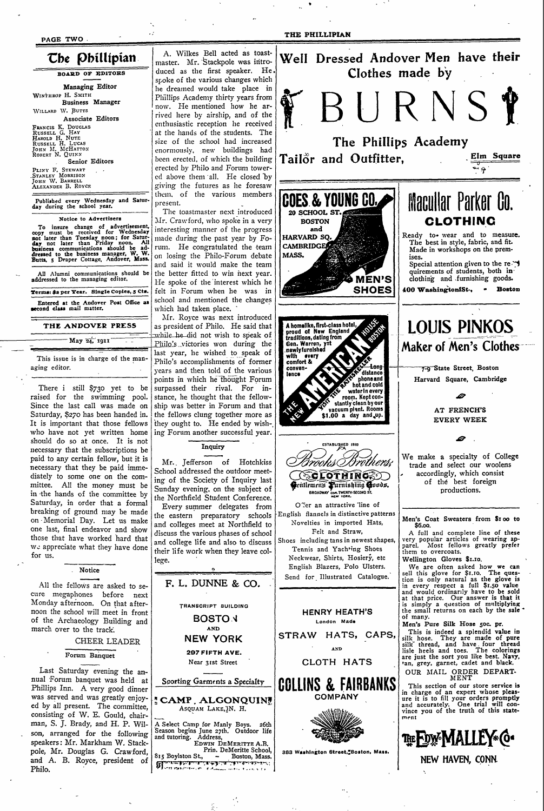| <b>BOARD OF EDITORS</b>                                                                                           |
|-------------------------------------------------------------------------------------------------------------------|
| <b>Managing Editor</b>                                                                                            |
| WINTHROP H. SMITH                                                                                                 |
| Business Manager                                                                                                  |
| WILLARD W. BUTTS                                                                                                  |
| Associate Editors                                                                                                 |
| FRANCIS K. DOUGLAS<br>RUSSELL G. HAY<br>HAROLD H. NUTE<br>RUSSELL H. LUCAS<br>JOHN M. MCHATTON<br>ROBERT N. QUINN |
| <b>Senior Editors</b>                                                                                             |
| PLINY F. STEWART<br>STANLEY MORRISON<br>JOHN W. BARRELL<br>ALEXANDER B. ROYCE                                     |

**Published every Wednesday and Satur-** pres

**second class mail matter.** Which had taken place.

who have not yet written home ing Forum another successful year. should do so at once. It is not  $\begin{array}{c|c}\n\hline\n\text{Input:} \\
\hline\n\text{Input:} \\
\hline\n\end{array}$ in-the hands of the committee by Sunday evening, on the subject of<br>Saturday, in order that a formal Ryers summer delectes from Saturday, in order that a formal Every summer delegates from  $\begin{array}{|l|l|}\n\hline\n\end{array}$  C<sup>T</sup>er an attractive line of breaking of ground may be made the eastern preparatory schools English flannels in distinctive patterns

man, S. J. Brady, and H. P. Wil- A Select Camp for Manly Boys. 26th pole, Mr. Douglas G. Crawford, <sub>Rampa</sub>rd, Prin. DeMeritte School, asa **Washington Street, Boston**, Mass. and A. B. Royce, president of olsn S Boston, Mass. NEW HAVEN, CONN Philo. . .. ...- ... . .. ...

**Che Obillipian**  $\begin{bmatrix} A & \text{Wilkes Bell acted as toast-} \\ \text{master. Mr. Stackpole was intro-} \end{bmatrix}$  Well Dressed Andover Men have their spoke of the various changes which he dreamed would take place in Phillips Academy thirty years from now. He mentioned how he arrived here by airship, and of the enthusiastic reception he received at the hands of the students. The erected by Philo and Forum towered above them all. He closed by giving the futures as he foresaw

The toastmaster next introduced **20 SCHOOL ST**. **Entered at the Andover Post Office as** SCROOI and mentioned the changes

**THE ANDOVER PRESS** as president of Philo. He said that as president of Philo. He said that **A homelike, first-class hotel,** while he did not wish to speak of **PINKOPING PINKOPING** While he did not wish to speak of **traditions, dating from the speak of the speak of traditions, dating from Philo's** victories won during the **con.** Warren, yet This issue is in charge of the man-<br>aging editor. With every applicant of the man-<br>aging editor. There i still \$730 yet to be surpassed their rival. For in-<br>raised for the swimming pool. stance, he thought that the fellowstance, he thought that the fellow-  $\frac{1}{\sqrt{2}}$  room. Kept con-<br>ship was better in Forum and that the fellowthey ought to. He ended by wish-.



\_\_\_\_\_\_\_\_\_\_\_\_\_not wish to speak **of proud ot Now England LOUIS PINKOS** at that price. Our answer is **that it**

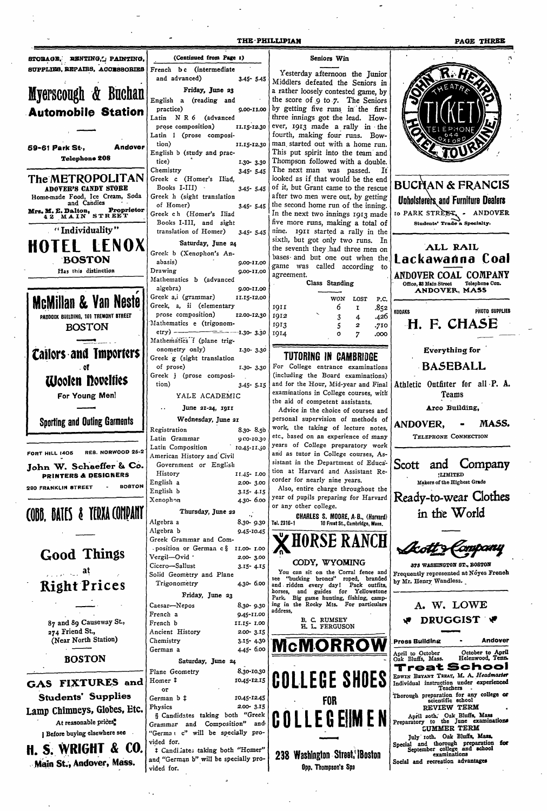| STOBAGE, RENTING, PAINTING,                                 | (Continued tions take 1)                              | peniors win                                                                        |                                                                  |
|-------------------------------------------------------------|-------------------------------------------------------|------------------------------------------------------------------------------------|------------------------------------------------------------------|
| SUPPLIES, REPAIRS, ACCESSORIES                              | French bc (intermediate                               | Yesterday afternoon the Junior                                                     |                                                                  |
|                                                             | and advanced)<br>$3.45 - 5.45$                        | Middlers defeated the Seniors in                                                   |                                                                  |
| Myerscough & Buchan                                         | Friday, June 23                                       | a rather loosely contested game, by                                                | THEATRE                                                          |
|                                                             | English a (reading and<br>$\sim 100$                  | the score of 9 to 7. The Seniors                                                   |                                                                  |
| <b>Automobile Station</b>                                   | practice)<br>9.00-11.00                               | by getting five runs in the first                                                  |                                                                  |
|                                                             | Latin NR 6 (advanced                                  | three innings got the lead. How-                                                   |                                                                  |
|                                                             | prose composition)<br>11.15-12.30                     | ever, 1913 made a rally in the                                                     | PHONE                                                            |
|                                                             | Latin I (prose composi-                               | fourth, making four runs. Bow-                                                     | OXFORD                                                           |
| Andover<br>59-61 Park St.,                                  | tion)<br>11.15-12.30                                  | man started out with a home run.                                                   |                                                                  |
| Telephone 208                                               | English b (study and prac-                            | This put spirit into the team and                                                  |                                                                  |
|                                                             | tice)<br>1.30-3.30                                    | Thompson followed with a double.                                                   |                                                                  |
| The METROPOLITAN                                            | Chemistry 3.45- 5.45<br>Greek c (Homer's Iliad,       | The next man was passed. It<br>looked as if that would be the end                  |                                                                  |
| ADOVER'S CANDY STORE                                        | Books I-III) $\cdot$<br>$3.45 - 5.45$                 | of it, but Grant came to the rescue                                                | BUCHAN & FRANCIS                                                 |
| Home-made Food, Ice Cream, Soda                             | Greek h (sight translation                            | after two men were out, by getting                                                 |                                                                  |
| and Candies                                                 | of Homer)<br>$3.45 - 5.45$                            | the second home run of the inning.                                                 | <b>Unholsterers and Furniture Dealers</b>                        |
| M.E.Dalton, Proprietor 42 MAIN STREET<br>Mrs. M. E. Dalton, | Greek ch (Homer's Iliad                               | In the next two innings 1913 made                                                  | 10 PARK STREET - ANDOVER                                         |
|                                                             | Books I-III, and sight                                | five more runs, making a total of                                                  | Students' Trade a Specialty.                                     |
| . "Individuality"                                           | translation of Homer)<br>$3.45 - 5.45$                | nine. 1911 started a rally in the                                                  |                                                                  |
|                                                             | Saturday, June 24                                     | sixth, but got only two runs. In                                                   |                                                                  |
| <b>HOTEL LENOX</b>                                          | Greek b (Xenophon's An-                               | the seventh they had three men on                                                  | ALL RAIL                                                         |
| <b>BOSTON</b>                                               | abasis)<br>$9.00 - 11.00$                             | bases and but one out when the                                                     | Lackawanna Coal                                                  |
| Has this distinction                                        | Drawing<br>9.00-11.00                                 | game was called according to                                                       |                                                                  |
|                                                             | Mathematics b (advanced                               | agreement.                                                                         | ANDOVER COAL COMPANY                                             |
|                                                             | algebra)<br>$9.00 - 11.00$                            | Class Standing                                                                     | Telephone Con.<br>Office, 33 Main Street<br>ANDOVER, MASS        |
|                                                             | Greek a,i (grammar) 11.15-12.00                       | WON LOST<br>P.C.                                                                   |                                                                  |
| <b>McMillan &amp; Van Neste</b>                             | Greek, a, ii (elementary                              | 1011<br>6<br>.852<br>$\mathbf{I}$                                                  | PHOTO SUPPLIE                                                    |
| PADDOCK BUILDING, 101 TREMONT STREET                        | prose composition)<br>$12.00 - 12.30$                 | 1912<br>$\boldsymbol{3}$<br>.426<br>4                                              | KODAKS                                                           |
| <b>BOSTON</b>                                               | Mathematics e (trigonom-                              | 1913<br>5<br>$\boldsymbol{2}$<br>.710                                              | H. F. CHASE                                                      |
|                                                             |                                                       | 1914<br>O.<br>7<br>.000                                                            |                                                                  |
|                                                             | Mathematics f (plane trig-                            |                                                                                    |                                                                  |
| Cailors and Importers                                       | onometry only)<br>$1.30 - 3.30$                       | TUTORING IN CAMBRIDGE                                                              | Everything for                                                   |
|                                                             | Greek g (sight translation                            |                                                                                    | <b>BASEBALL</b>                                                  |
|                                                             | of prose)<br>$1.30 - 3.30$<br>Greek j (prose composi- | For College entrance examinations<br>(including the Board examinations)            |                                                                  |
| Woolen Dovelties                                            | tion)                                                 | $3.45$ - 5.15 and for the Hour, Mid-year and Final Athletic Outfitter for all P. A |                                                                  |
|                                                             |                                                       | examinations in College courses, with                                              | <b>Teams</b>                                                     |
| For Young Men!                                              | YALE ACADEMIC                                         | the aid of competent assistants.                                                   |                                                                  |
|                                                             | June 21-24, 1911<br>$\ddot{\phantom{0}}$              | Advice in the choice of courses and                                                | Arco Building,                                                   |
| <b>Sporting and Outing Garments</b>                         | Wednesday, June 21                                    | personal supervision of methods of                                                 |                                                                  |
|                                                             | Registration<br>$8.30 - 8.50$                         | work, the taking of lecture notes,                                                 | <b>MASS</b><br>ANDOVER,                                          |
|                                                             | Latin Grammar<br>$900 - 10.30$                        | etc., based on an experience of many                                               | TELEPHONE CONNECTION                                             |
|                                                             | Latin Composition<br>10.45-11.50                      | years of College preparatory work                                                  |                                                                  |
| <b>REB. NORWOOD 26-2</b><br>FORT HILL 1405                  | American History and Civil                            | and as tutor in College courses, As-                                               |                                                                  |
| John W. Schaeffer & Co.                                     | Government or English                                 | sistant in the Department of Educa-                                                | Company<br>Scott<br>and                                          |
| PRINTERS & DESIGNERS                                        | History<br>$11.45 - 1.00$                             | tion at Harvard and Assistant Re-                                                  | <b>!LIMITED</b>                                                  |
| <b>BOBTON</b><br>290 FRANKLIN STREET                        | English a<br>$2,00 - 3.00$                            | corder for nearly nine years.                                                      | Makers of the Highest Grade                                      |
|                                                             | English b<br>$3.15 - 4.15$                            | Also, entire charge throughout the<br>year of pupils preparing for Harvard         | Ready-to-wear Clothes                                            |
|                                                             | <b>Xenophon</b><br>$4.30 - 6.00$                      | or any other college.                                                              |                                                                  |
| COBB, BATES & YERXA COMPANY                                 | Thursday, June 22                                     | <b>CHARLES S. MOORE, A.B., (Harvard)</b>                                           | in the World                                                     |
|                                                             | Algebra a<br>$8.30 - 9.30$                            | Tel. 2316-1<br>10 Frost St., Cambridge, Mass.                                      |                                                                  |
|                                                             | Algebra b<br>9.45-10.45                               |                                                                                    |                                                                  |
|                                                             | Greek Grammar and Com-                                | HORSE RANCH                                                                        |                                                                  |
|                                                             | position or German $c \$<br>II.00- I.00               |                                                                                    |                                                                  |
| <b>Good Things</b>                                          | Vergil-Ovid ·<br>$2.00 - 3.00$                        | CODY, WYOMING                                                                      |                                                                  |
|                                                             | Cicero-Sallust<br>$3.15 - 4.15$                       | You can sit on the Corral fence and                                                | 375 WASHINGTON ST., BOSTON                                       |
| $\mathcal{L}_{\text{cusp}}$ at                              | Solid Geometry and Plane                              | "bucking broncs" roped, branded<br>see                                             | Frequently represented at Noyes French<br>by Mr. Henry Wandless. |
| <b>Right Prices</b>                                         | Trigonometry<br>$4.30 - 6.00$                         | and ridden every day! Pack outfits,<br>and guides for Yellowstone<br>horses.       |                                                                  |
|                                                             | Friday, June 23                                       | Big game hunting, fishing, camp-<br>Park.                                          |                                                                  |
|                                                             | Caesar-Nepos<br>$8.30 - 9.30$                         | ing in the Rocky Mts. For particulars                                              | A. W. LOWE                                                       |
|                                                             | French a<br>9.45-11.00                                | address.                                                                           | DRUGGIST                                                         |
| 87 and 89 Causeway St.,                                     | French b<br>II.I5- I.00                               | B. C. RUMSEY<br>H. L. FERGUSON                                                     |                                                                  |
| 274 Friend St.,                                             | Ancient History<br>$2.00 - 3.15$                      |                                                                                    |                                                                  |
| (Near North Station)                                        | Chemistry<br>$3.15 - 4.30$                            | <b>McMORROW</b>                                                                    | <b>Andover</b><br><b>Press Building</b>                          |
|                                                             | $4.45 - 6.00$<br>German a                             |                                                                                    | October to April<br>April to October                             |
| <b>BOSTON</b>                                               | Saturday, June 24                                     |                                                                                    | Helenwood, Tenn.<br>Oak Bluffs, Mass.                            |
|                                                             | 8.30-10.30<br>Plane Geometry                          |                                                                                    | Treat School<br>EDWIN BRYANT TREAT, M. A. Headmaster             |
| CAS FIXTURES and                                            | 10.45-12.15<br>Homer #                                | COLLEGE SHOES                                                                      | Individual instruction under experienced                         |

| Trigonometry                      | $4.30 - 6.00$    | and rio  |
|-----------------------------------|------------------|----------|
| Friday, June 23                   | horses,<br>Park. |          |
| Caesar—Nepos                      | 8.30- 9.30       | ing in   |
| French a                          | 9.45-11.00       | address, |
| French b                          | II.I5- I.00      |          |
| Ancient History                   | $2.00 - 3.15$    |          |
| Chemistry                         | $3.15 - 4.30$    |          |
| German a                          | 4.45- 6.00       |          |
| Saturday, June 24                 |                  |          |
| Plane Geometry                    | 8.30-10.30       |          |
| Homer ‡                           | 10.45-12.15      | 60       |
| or                                |                  |          |
| German b‡                         | 10.45-12.45      |          |
| Physics                           | $2.00 - 3.15$    |          |
| § Candidates taking both "Greek   |                  | G 0      |
| Grammar and Composition" and      |                  |          |
| "Germat c" will be specially pro- |                  |          |
| vided for.                        |                  |          |
|                                   |                  |          |

 $\ddot{\phantom{a}}$ 

### **STOBAGOB. RBMTIN, i PAINTING. (Continued** froM **Page ) Seniors Win**

|    |  | WON | <b>LOST</b> | P.C.                                         |  |  |
|----|--|-----|-------------|----------------------------------------------|--|--|
| IJ |  | 6   |             | .852                                         |  |  |
| 12 |  |     | 4           | $\begin{bmatrix} .426 \\ .710 \end{bmatrix}$ |  |  |
| 13 |  | 5   | 2           |                                              |  |  |
| 14 |  | ο   |             | ,000                                         |  |  |
|    |  |     |             |                                              |  |  |



**THE'PHILLIPIAN** PAGE THREE

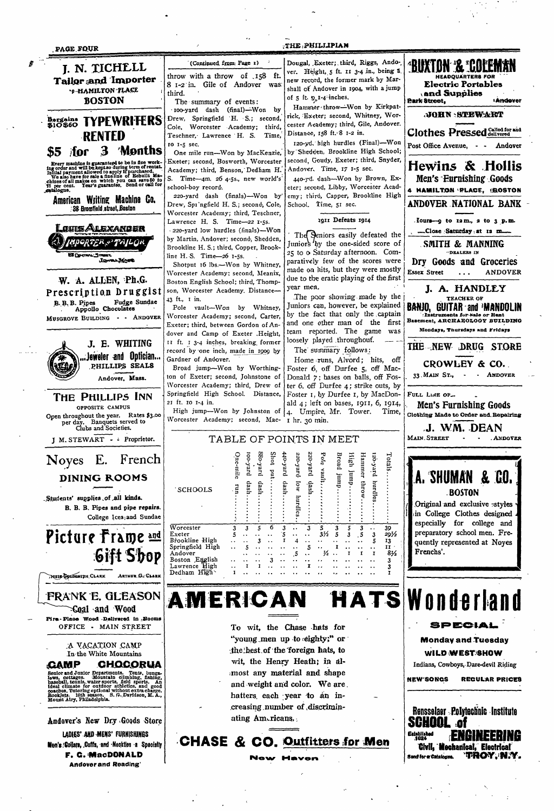

### -THE PHILLIPIAN

Dougal, Exeter; third. Riggs, Andover. Height, 5 ft. 11 3-4 in., being a new record, the former mark by Marshall of Andover in 1904, with a jump of  $5$  it.  $9.1-4$  inches.

Hammer throw-Won by Kirkpatrick, Exeter; second, Whitney, Worcester Academy: third, Gile, Andover. Distance, 158 ft. 8 1-2 in.

120-vd. high hurdles (Final)-Won by Shedden. Brookline High School; second. Goudy, Exeter; third, Snyder, Andover, Time, 17 1-5 sec.

440-yd. dash-Won by Brown, Exeter; second, Libby, Worcester Academy; third, Capper, Brookline High School. Time, 51 sec.

### 1911 Defeats 1914

The Seniors easily defeated the Juniors by the one-sided score of 25 to o Saturday afternoon. Comparatively few of the scores were made on hits, but they were mostly due to the eratic playing of the first year men.

The poor showing made by the Juniors can, however, be explained by the fact that only the captain and one other man of the first team reported. The game was loosely played throughouf.

The summary follows:

**Pole** 

 $\mathbf{3}$ -5

 $\ddot{\phantom{a}}$ 

 $\ddotsc$  $\sim$  .

 $\ddot{\phantom{a}}$ 

 $\ddot{\phantom{a}}$  $\sim$ 

 $\mathbf{T}$ 

 $\overline{5}$ 

Home runs, Alvord; hits, off Foster 6, off Durfee 5, off Mac-Donald 7; bases on balls, off Foster 6, off Durfee 4; strike outs, by Foster 1, by Durfee 1, by MacDonald  $4$ ; left on bases, 1911, 6, 1914,

ligh

dunf

. 5  $\overline{\mathbf{3}}$ 

 $\ddot{\phantom{a}}$  $\ddot{\phantom{a}}$ - 5  $_{13}$ 

 $\ddot{\phantom{a}}$  $\ddot{\phantom{a}}$ 

 $\mathbf{r}$  $\mathbf{I}$  $\mathbf{I}$ 

 $\ddot{\phantom{a}}$  $\ddot{\phantom{a}}$  .

 $\mathbf{3}$  $\overline{5}$  $\mathbf{3}$ 

 $\mathbf{r}$ 

 $\sim$  $\ddot{\phantom{0}}$  $\ddotsc$ 

 $\ddot{\phantom{a}}$ 

5  $\overline{\mathbf{3}}$ 

 $3\frac{1}{2}$ 

一万 . .

 $\rightarrow$ 

 $\ddot{\phantom{0}}$  .

Totals.

39

 $II$ 

 $\boldsymbol{3}$ 

8½

 $29\frac{1}{2}$ 

120-yard

**BUXTON & COFEMAI HEADQUARTERS FOR Electric Portables** and Supplies Park Street, *Andover* JOHN - STEWART Clothes Pressed Galled for and Post Office Avenue. . . Andover Hewins & Hollis Men's Eurnishing Goods 4 HAMILTON PLACE, BOSTON ANDOVER NATIONAL BANK . Iours-9 to 12m., 2 to 3 p.m. .....Close Saturday : at 12 m. SMITH & MANNING -DEALERS IN Dry Goods and Groceries Essex Street  $\overline{a}$ **ANDOVER** I. A. HANDLEY **TEACHER OF BANJO. GUITAR and MANDOLIN** Tuatrumanta for Nale or Bant Basement, ARCHAROLOGY BUILDING Mondays, Thursdays and Fridays THE NEW DRUG STORE CROWLEY & CO. - ANDOVER 33. MAIN ST., FULL LINE OF. **Men's Furnishing Goods** Clothing Made to Order and Repairing .J. WM. DEAN MAIN. STREET  $\sim$ **ANDOVER** A, SHUMAN & CO. **BOSTON** Original and exclusive styles in College Clothes designed especially for college and preparatory school men. Frequently represented at Noyes Frenchs'. HATSWonderland

In the White Mountains

### **CAMP CHOCORUA**

Senior and Junior Departments. Tents, burga-<br>Lews, cottages. Mountain climbing, fishing, baseball, tennis, water sports, field sports. An idea climate for outdoor athletics, and good and sports. The coaches, Tutoring optio

**Andover's New Dry Goods Store** 

LADIES' AND MENS' FURNISHINGS Men's /Gollars, Cuffs, and Neckties a Specialty **F. C. MacDONALD Andover and Reading** 

the best of the foreign hats, to wit, the Henry Heath; in almost any material and shape and weight and color. We are hatters each year to an increasing number of discriminating Americans.

# **CHASE & CO. Outfitters for Men**

aven

WILD WEST SHOW Indians, Cowboys, Dare-devil Riding **NEW'SONGS REGULAR PRICES** Rensselaer Polytechnic Institute **SCHOOL** of Established<br>1824 ÆN EIN EEN NA Civil, Mechanical, Electrical Send for a Catalogue. **TROY N.Y.** 

SPECIAL

**Monday and Tuesday**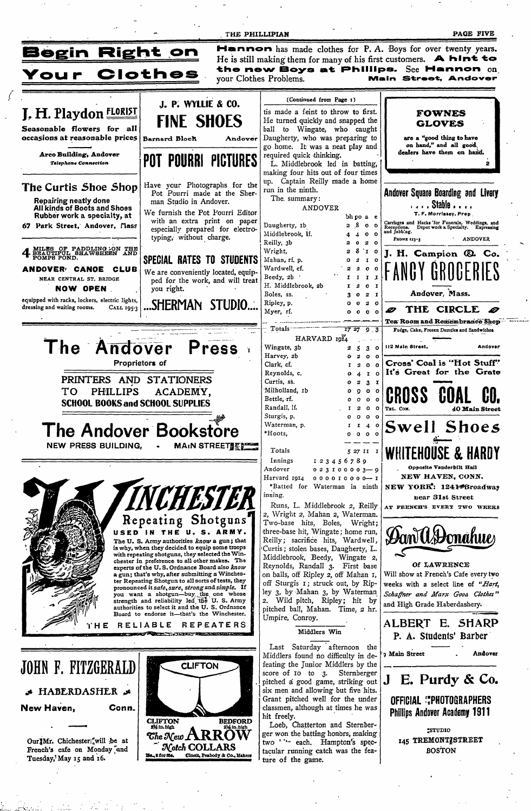